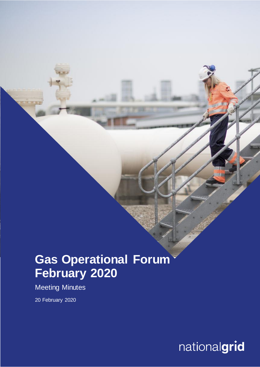# **Gas Operational Forum February 2020**

Meeting Minutes

20 February 2020

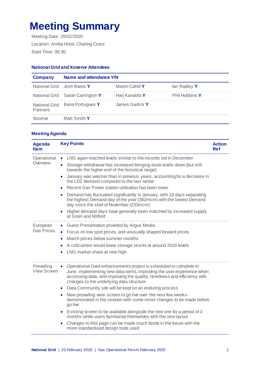## **Meeting Summary**

Meeting Date: 20/02/2020 Location: Amba Hotel, Charing Cross Start Time: 09:30

### **National Grid and Xoserve Attendees**

| <b>Company</b>                          | Name and attendance Y/N          |                 |                |
|-----------------------------------------|----------------------------------|-----------------|----------------|
| National Grid                           | Josh Bates <b>Y</b>              | Martin Cahill Y | lan Radley Y   |
|                                         | National Grid Sarah Carrington Y | Harj Kandola Y  | Phil Hobbins Y |
| <b>National Grid</b><br><b>Partners</b> | Iliana Portugues Y               | James Garlick Y |                |
| <b>Xoserve</b>                          | Matt Smith Y                     |                 |                |

### **Meeting Agenda**

| <b>Agenda</b><br><b>Item</b>     | <b>Key Points</b>                                                                                                                                                                                                                                                                                                                                                                                                                                                                                                                                                                                                                                                                                                                                                                                               | <b>Action</b><br><b>Ref</b> |
|----------------------------------|-----------------------------------------------------------------------------------------------------------------------------------------------------------------------------------------------------------------------------------------------------------------------------------------------------------------------------------------------------------------------------------------------------------------------------------------------------------------------------------------------------------------------------------------------------------------------------------------------------------------------------------------------------------------------------------------------------------------------------------------------------------------------------------------------------------------|-----------------------------|
| Operational<br>Overview          | LNG again reached levels similar to the records set in December<br>$\bullet$<br>Storage withdrawal has increased bringing stock levels down (but still<br>$\bullet$<br>towards the higher end of the historical range)<br>January was warmer than in previous years, accounting for a decrease in<br>$\bullet$<br>the LDZ demand compared to the last winter<br>Recent Gas Power station utilisation has been lower<br>$\bullet$<br>Demand has fluctuated significantly in January, with 10 days separating<br>$\bullet$<br>the highest Demand day of the year (362mcm) with the lowest Demand<br>day since the start of November (233mcm)<br>Higher demand days have generally been matched by increased supply<br>$\bullet$<br>at Grain and Milford                                                           |                             |
| European<br><b>Gas Prices</b>    | Guest Presentation provided by Argus Media<br>Focus on low spot prices, and unusually shaped forward prices<br>March prices below summer months<br>A cold winter would leave storage stocks at around 2018 levels<br>LNG market share at new high                                                                                                                                                                                                                                                                                                                                                                                                                                                                                                                                                               |                             |
| Prevailing<br><b>View Screen</b> | Operational Data enhancements project is scheduled to complete in<br>$\bullet$<br>June, implementing new data items, improving the user experience when<br>accessing data, and improving the quality, timeliness and efficiency with<br>changes to the underlying data structure<br>Data Community site will be kept on an enduring process<br>$\bullet$<br>New prevailing view screen to go live over the next few weeks-<br>$\bullet$<br>demonstrated in the session with some minor changes to be made before<br>go live<br>Existing screen to be available alongside the new one for a period of 3<br>$\bullet$<br>months while users familiarise themselves with the new layout<br>Changes to this page can be made much faster in the future with the<br>$\bullet$<br>more standardised design tools used |                             |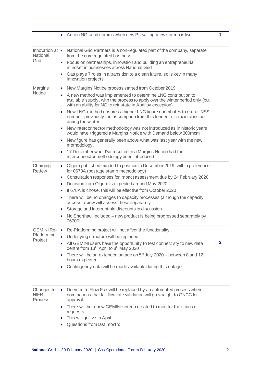|                                      | • Action NG send comms when new Prevailing View screen is live                                                                                                                                              | 1            |
|--------------------------------------|-------------------------------------------------------------------------------------------------------------------------------------------------------------------------------------------------------------|--------------|
| Innovation at •<br>National<br>Grid  | National Grid Partners is a non-regulated part of the company, separate<br>from the core regulated business                                                                                                 |              |
|                                      | Focus on partnerships, innovation and building an entrepreneurial<br>$\bullet$<br>mindset in businesses across National Grid                                                                                |              |
|                                      | Gas plays 7 roles in a transition to a clean future, so is key in many<br>innovation projects                                                                                                               |              |
| Margins                              | New Margins Notice process started from October 2019                                                                                                                                                        |              |
| <b>Notice</b>                        | A new method was implemented to determine LNG contribution to<br>available supply, with the process to apply over the winter period only (but<br>with an ability for NG to reinstate in April by exception) |              |
|                                      | New LNG method ensures a higher LNG figure contributes to overall NSS<br>$\bullet$<br>number- previously the assumption from this tended to remain constant<br>during the winter                            |              |
|                                      | New Interconnector methodology was not introduced as in historic years<br>$\bullet$<br>would have triggered a Margins Notice with Demand below 300mcm                                                       |              |
|                                      | New figure has generally been above what was last year with the new<br>$\bullet$<br>methodology.                                                                                                            |              |
|                                      | 17 December would've resulted in a Margins Notice had the<br>۰<br>interconnector methodology been introduced                                                                                                |              |
| Charging<br><b>Review</b>            | Ofgem published minded to position in December 2019, with a preference<br>for 0678A (postage stamp methodology)                                                                                             |              |
|                                      | Consultation responses for impact assessment due by 24 February 2020<br>$\bullet$<br>Decision from Ofgem is expected around May 2020<br>$\bullet$                                                           |              |
|                                      | If 678A is chose, this will be effective from October 2020<br>$\bullet$                                                                                                                                     |              |
|                                      | There will be no changes to capacity processes (although the capacity<br>$\bullet$<br>access review will assess these separately                                                                            |              |
|                                      | Storage and Interruptible discounts in discussion<br>$\bullet$<br>No Shorthaul included – new product is being progressed separately by                                                                     |              |
|                                      | 0670R                                                                                                                                                                                                       |              |
| <b>GEMINI Re-</b>                    | Re-Platforming project will not affect the functionality                                                                                                                                                    |              |
| Platforming<br>Project               | Underlying structure will be replaced                                                                                                                                                                       | $\mathbf{2}$ |
|                                      | All GEMINI users have the opportunity to test connectivity to new data<br>centre from 13th April to 8th May 2020                                                                                            |              |
|                                      | There will be an extended outage on $5th$ July 2020 – between 8 and 12<br>$\bullet$<br>hours expected                                                                                                       |              |
|                                      | Contingency data will be made available during this outage                                                                                                                                                  |              |
|                                      |                                                                                                                                                                                                             |              |
| Changes to<br><b>NIFR</b><br>Process | Deemed to Flow Fax will be replaced by an automated process where<br>۰<br>nominations that fail flow rate validation will go straight to GNCC for<br>approval                                               |              |
|                                      | There will be a new GEMINI screen created to monitor the status of<br>$\bullet$<br>requests                                                                                                                 |              |
|                                      | This will go live in April                                                                                                                                                                                  |              |
|                                      | Questions from last month:                                                                                                                                                                                  |              |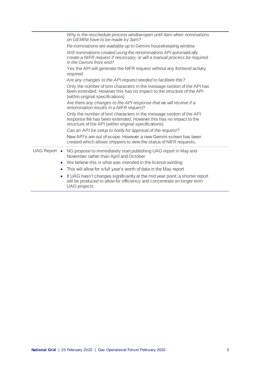|           | Why is the reschedule process window open until 4am when nominations<br>on GEMINI have to be made by 3am?                                                                                           |
|-----------|-----------------------------------------------------------------------------------------------------------------------------------------------------------------------------------------------------|
|           | Re-nominations are available up to Gemini housekeeping window                                                                                                                                       |
|           | Will nominations created using the renominations API automatically<br>create a NIFR request if necessary, or will a manual process be required<br>in the Gemini front end?                          |
|           | Yes the API will generate the NIFR request without any frontend activity<br>required                                                                                                                |
|           | Are any changes to the API request needed to facilitate this?                                                                                                                                       |
|           | Only the number of text characters in the message section of the API has<br>been extended, However this has no impact to the structure of the API<br>(within original specifications)               |
|           | Are there any changes to the API response that we will receive if a<br>renomination results in a NIFR request?                                                                                      |
|           | Only the number of text characters in the message section of the API<br>response file has been extended. However this has no impact to the<br>structure of the API (within original specifications) |
|           | Can an API be setup to notify for approval of the request?                                                                                                                                          |
|           | New API's are out of scope. However a new Gemini screen has been<br>created which allows shippers to view the status of NIFR requests.                                                              |
|           | UAG Report • NG propose to immediately start publishing UAG report in May and<br>November rather than April and October                                                                             |
|           | • We believe this is what was intended in the licence wording                                                                                                                                       |
| $\bullet$ | This will allow for a full year's worth of data in the May report                                                                                                                                   |
| $\bullet$ | If UAG hasn't changes significantly at the mid year point, a shorter report<br>will be produced to allow for efficiency and concentrate on longer term<br><b>UAG</b> projects                       |